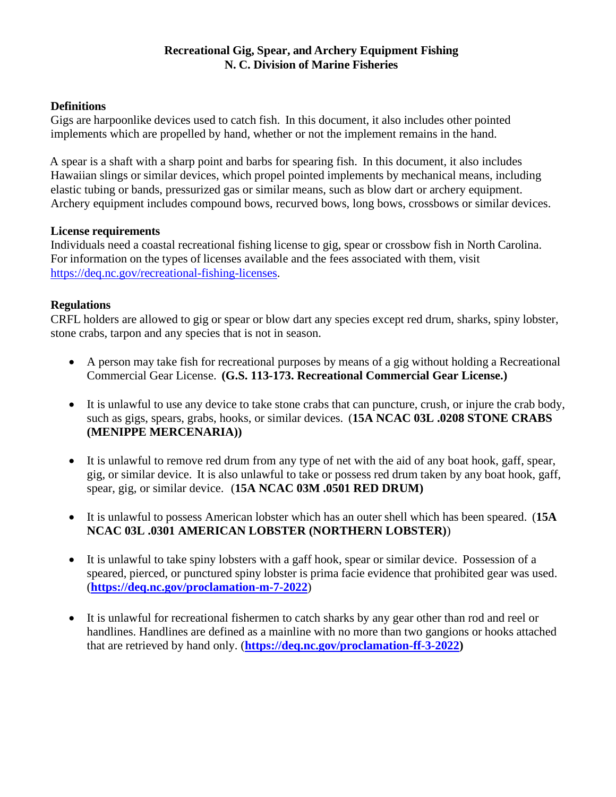#### **Recreational Gig, Spear, and Archery Equipment Fishing N. C. Division of Marine Fisheries**

#### **Definitions**

Gigs are harpoonlike devices used to catch fish. In this document, it also includes other pointed implements which are propelled by hand, whether or not the implement remains in the hand.

A spear is a shaft with a sharp point and barbs for spearing fish. In this document, it also includes Hawaiian slings or similar devices, which propel pointed implements by mechanical means, including elastic tubing or bands, pressurized gas or similar means, such as blow dart or archery equipment. Archery equipment includes compound bows, recurved bows, long bows, crossbows or similar devices.

#### **License requirements**

Individuals need a coastal recreational fishing license to gig, spear or crossbow fish in North Carolina. For information on the types of licenses available and the fees associated with them, visit [https://deq.nc.gov/recreational-fishing-licenses.](https://deq.nc.gov/recreational-fishing-licenses)

#### **Regulations**

CRFL holders are allowed to gig or spear or blow dart any species except red drum, sharks, spiny lobster, stone crabs, tarpon and any species that is not in season.

- A person may take fish for recreational purposes by means of a gig without holding a Recreational Commercial Gear License. **(G.S. 113-173. Recreational Commercial Gear License.)**
- It is unlawful to use any device to take stone crabs that can puncture, crush, or injure the crab body, such as gigs, spears, grabs, hooks, or similar devices. (**15A NCAC 03L .0208 STONE CRABS (MENIPPE MERCENARIA))**
- It is unlawful to remove red drum from any type of net with the aid of any boat hook, gaff, spear, gig, or similar device. It is also unlawful to take or possess red drum taken by any boat hook, gaff, spear, gig, or similar device. (**15A NCAC 03M .0501 RED DRUM)**
- It is unlawful to possess American lobster which has an outer shell which has been speared. (**15A NCAC 03L .0301 AMERICAN LOBSTER (NORTHERN LOBSTER)**)
- It is unlawful to take spiny lobsters with a gaff hook, spear or similar device. Possession of a speared, pierced, or punctured spiny lobster is prima facie evidence that prohibited gear was used. (**<https://deq.nc.gov/proclamation-m-7-2022>**)
- It is unlawful for recreational fishermen to catch sharks by any gear other than rod and reel or handlines. Handlines are defined as a mainline with no more than two gangions or hooks attached that are retrieved by hand only. (**[https://deq.nc.gov/proclamation-ff-3-2022\)](https://deq.nc.gov/proclamation-ff-3-2022)**